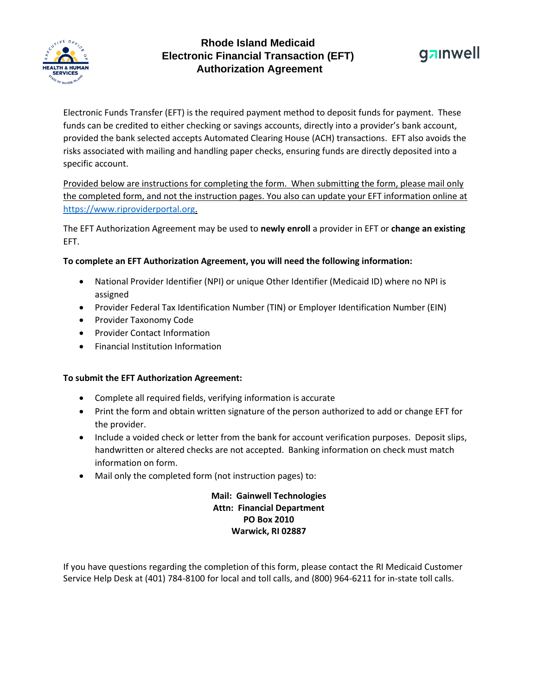

# **Rhode Island Medicaid Electronic Financial Transaction (EFT) Authorization Agreement**



Electronic Funds Transfer (EFT) is the required payment method to deposit funds for payment. These funds can be credited to either checking or savings accounts, directly into a provider's bank account, provided the bank selected accepts Automated Clearing House (ACH) transactions. EFT also avoids the risks associated with mailing and handling paper checks, ensuring funds are directly deposited into a specific account.

Provided below are instructions for completing the form. When submitting the form, please mail only the completed form, and not the instruction pages. You also can update your EFT information online at [https://www.riproviderportal.org.](https://www.riproviderportal.org/)

The EFT Authorization Agreement may be used to **newly enroll** a provider in EFT or **change an existing** EFT.

#### **To complete an EFT Authorization Agreement, you will need the following information:**

- National Provider Identifier (NPI) or unique Other Identifier (Medicaid ID) where no NPI is assigned
- Provider Federal Tax Identification Number (TIN) or Employer Identification Number (EIN)
- Provider Taxonomy Code
- Provider Contact Information
- Financial Institution Information

#### **To submit the EFT Authorization Agreement:**

- Complete all required fields, verifying information is accurate
- Print the form and obtain written signature of the person authorized to add or change EFT for the provider.
- Include a voided check or letter from the bank for account verification purposes. Deposit slips, handwritten or altered checks are not accepted. Banking information on check must match information on form.
- Mail only the completed form (not instruction pages) to:

## **Mail: Gainwell Technologies Attn: Financial Department PO Box 2010 Warwick, RI 02887**

If you have questions regarding the completion of this form, please contact the RI Medicaid Customer Service Help Desk at (401) 784-8100 for local and toll calls, and (800) 964-6211 for in-state toll calls.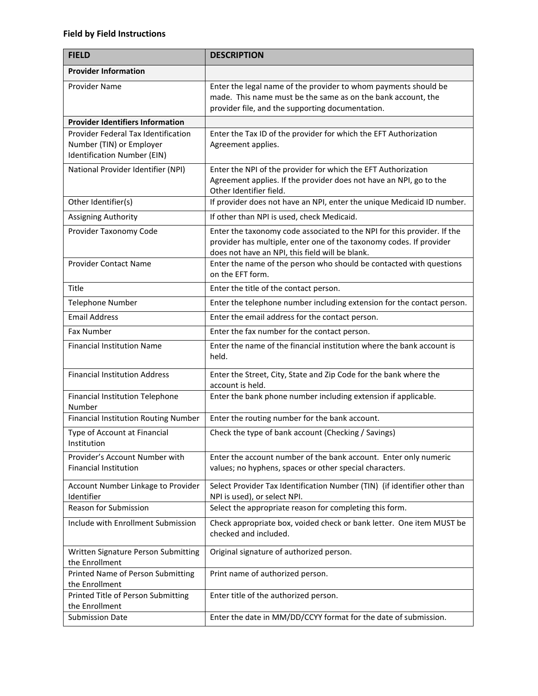### **Field by Field Instructions**

| <b>FIELD</b>                                                                                          | <b>DESCRIPTION</b>                                                                                                                                                                                |  |
|-------------------------------------------------------------------------------------------------------|---------------------------------------------------------------------------------------------------------------------------------------------------------------------------------------------------|--|
| <b>Provider Information</b>                                                                           |                                                                                                                                                                                                   |  |
| Provider Name                                                                                         | Enter the legal name of the provider to whom payments should be<br>made. This name must be the same as on the bank account, the<br>provider file, and the supporting documentation.               |  |
| <b>Provider Identifiers Information</b>                                                               |                                                                                                                                                                                                   |  |
| Provider Federal Tax Identification<br>Number (TIN) or Employer<br><b>Identification Number (EIN)</b> | Enter the Tax ID of the provider for which the EFT Authorization<br>Agreement applies.                                                                                                            |  |
| National Provider Identifier (NPI)                                                                    | Enter the NPI of the provider for which the EFT Authorization<br>Agreement applies. If the provider does not have an NPI, go to the<br>Other Identifier field.                                    |  |
| Other Identifier(s)                                                                                   | If provider does not have an NPI, enter the unique Medicaid ID number.                                                                                                                            |  |
| Assigning Authority                                                                                   | If other than NPI is used, check Medicaid.                                                                                                                                                        |  |
| Provider Taxonomy Code                                                                                | Enter the taxonomy code associated to the NPI for this provider. If the<br>provider has multiple, enter one of the taxonomy codes. If provider<br>does not have an NPI, this field will be blank. |  |
| <b>Provider Contact Name</b>                                                                          | Enter the name of the person who should be contacted with questions<br>on the EFT form.                                                                                                           |  |
| Title                                                                                                 | Enter the title of the contact person.                                                                                                                                                            |  |
| <b>Telephone Number</b>                                                                               | Enter the telephone number including extension for the contact person.                                                                                                                            |  |
| <b>Email Address</b>                                                                                  | Enter the email address for the contact person.                                                                                                                                                   |  |
| <b>Fax Number</b>                                                                                     | Enter the fax number for the contact person.                                                                                                                                                      |  |
| <b>Financial Institution Name</b>                                                                     | Enter the name of the financial institution where the bank account is<br>held.                                                                                                                    |  |
| <b>Financial Institution Address</b>                                                                  | Enter the Street, City, State and Zip Code for the bank where the<br>account is held.                                                                                                             |  |
| Financial Institution Telephone<br>Number                                                             | Enter the bank phone number including extension if applicable.                                                                                                                                    |  |
| <b>Financial Institution Routing Number</b>                                                           | Enter the routing number for the bank account.                                                                                                                                                    |  |
| Type of Account at Financial<br>Institution                                                           | Check the type of bank account (Checking / Savings)                                                                                                                                               |  |
| Provider's Account Number with<br><b>Financial Institution</b>                                        | Enter the account number of the bank account. Enter only numeric<br>values; no hyphens, spaces or other special characters.                                                                       |  |
| Account Number Linkage to Provider<br>Identifier                                                      | Select Provider Tax Identification Number (TIN) (if identifier other than<br>NPI is used), or select NPI.                                                                                         |  |
| Reason for Submission                                                                                 | Select the appropriate reason for completing this form.                                                                                                                                           |  |
| Include with Enrollment Submission                                                                    | Check appropriate box, voided check or bank letter. One item MUST be<br>checked and included.                                                                                                     |  |
| Written Signature Person Submitting<br>the Enrollment                                                 | Original signature of authorized person.                                                                                                                                                          |  |
| Printed Name of Person Submitting<br>the Enrollment                                                   | Print name of authorized person.                                                                                                                                                                  |  |
| Printed Title of Person Submitting<br>the Enrollment                                                  | Enter title of the authorized person.                                                                                                                                                             |  |
| <b>Submission Date</b>                                                                                | Enter the date in MM/DD/CCYY format for the date of submission.                                                                                                                                   |  |